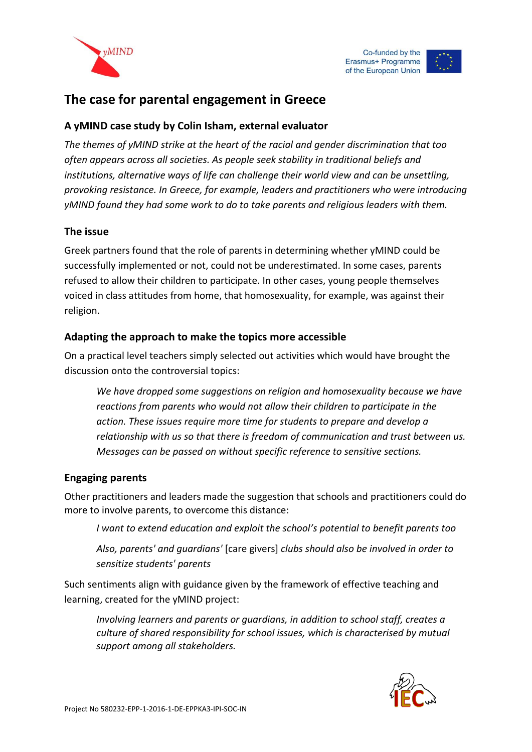



# **The case for parental engagement in Greece**

#### **A yMIND case study by Colin Isham, external evaluator**

*The themes of yMIND strike at the heart of the racial and gender discrimination that too often appears across all societies. As people seek stability in traditional beliefs and institutions, alternative ways of life can challenge their world view and can be unsettling, provoking resistance. In Greece, for example, leaders and practitioners who were introducing yMIND found they had some work to do to take parents and religious leaders with them.*

#### **The issue**

Greek partners found that the role of parents in determining whether yMIND could be successfully implemented or not, could not be underestimated. In some cases, parents refused to allow their children to participate. In other cases, young people themselves voiced in class attitudes from home, that homosexuality, for example, was against their religion.

#### **Adapting the approach to make the topics more accessible**

On a practical level teachers simply selected out activities which would have brought the discussion onto the controversial topics:

*We have dropped some suggestions on religion and homosexuality because we have reactions from parents who would not allow their children to participate in the action. These issues require more time for students to prepare and develop a relationship with us so that there is freedom of communication and trust between us. Messages can be passed on without specific reference to sensitive sections.*

#### **Engaging parents**

Other practitioners and leaders made the suggestion that schools and practitioners could do more to involve parents, to overcome this distance:

*I want to extend education and exploit the school's potential to benefit parents too*

*Also, parents' and guardians'* [care givers] *clubs should also be involved in order to sensitize students' parents*

Such sentiments align with guidance given by the framework of effective teaching and learning, created for the yMIND project:

*Involving learners and parents or guardians, in addition to school staff, creates a culture of shared responsibility for school issues, which is characterised by mutual support among all stakeholders.*